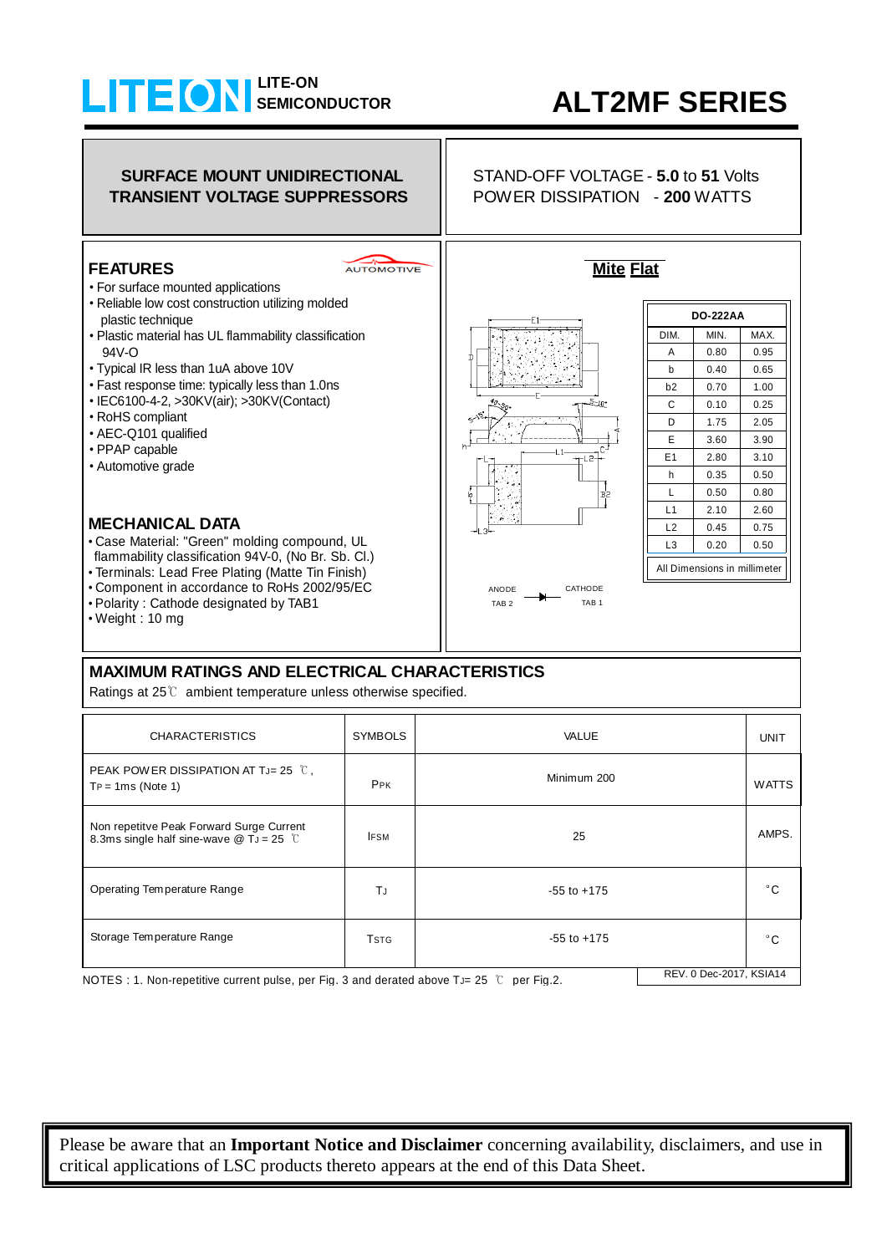## **LITE-ON SEMICONDUCTOR**

## **ALT2MF SERIES**

## **SURFACE MOUNT UNIDIRECTIONAL TRANSIENT VOLTAGE SUPPRESSORS**

#### **FEATURES**

#### AUTOMOTIVE

- For surface mounted applications
- Reliable low cost construction utilizing molded
- plastic technique • Plastic material has UL flammability classification
- 94V-O
- Typical IR less than 1uA above 10V
- Fast response time: typically less than 1.0ns
- IEC6100-4-2, >30KV(air); >30KV(Contact)
- RoHS compliant
- AEC-Q101 qualified
- PPAP capable
- Automotive grade

#### **MECHANICAL DATA**

- Case Material: "Green" molding compound, UL flammability classification 94V-0, (No Br. Sb. Cl.)
- Terminals: Lead Free Plating (Matte Tin Finish)
- Component in accordance to RoHs 2002/95/EC
- Polarity : Cathode designated by TAB1
- Weight : 10 mg

### **MAXIMUM RATINGS AND ELECTRICAL CHARACTERISTICS**

Ratings at 25℃ ambient temperature unless otherwise specified.

| <b>CHARACTERISTICS</b>                                                                                                                                                     | <b>SYMBOLS</b> | VALUE           | <b>UNIT</b> |       |  |
|----------------------------------------------------------------------------------------------------------------------------------------------------------------------------|----------------|-----------------|-------------|-------|--|
| PEAK POWER DISSIPATION AT T <sub>J</sub> = 25 $\degree$ C,<br>$TP = 1ms$ (Note 1)                                                                                          | PPK            | Minimum 200     |             |       |  |
| Non repetitve Peak Forward Surge Current<br>8.3ms single half sine-wave $@$ T <sub>J</sub> = 25 °C                                                                         | <b>IFSM</b>    | 25              |             | AMPS. |  |
| Operating Temperature Range                                                                                                                                                | TJ.            | $-55$ to $+175$ |             | ۰c    |  |
| Storage Temperature Range                                                                                                                                                  | <b>TSTG</b>    | $-55$ to $+175$ |             | °C    |  |
| REV. 0 Dec-2017, KSIA14<br>MOTEO : Al Marchael (1995) a construction of a set $\Gamma$ in Organization of the Section of $\Gamma$ and $\Gamma$ in Organization of $\Gamma$ |                |                 |             |       |  |

NOTES : 1. Non-repetitive current pulse, per Fig. 3 and derated above TJ= 25  $\degree$  per Fig.2.

Please be aware that an **Important Notice and Disclaimer** concerning availability, disclaimers, and use in critical applications of  $LSC$  products thereto appears at the end of this Data Sheet.

STAND-OFF VOLTAGE - **5.0** to **51** Volts POWER DISSIPATION - **200** WATTS

**Mite Flat**



| DO-222AA                     |      |      |  |  |  |
|------------------------------|------|------|--|--|--|
| DIM.                         | MIN. | MAX. |  |  |  |
| A                            | 0.80 | 0.95 |  |  |  |
| b                            | 0.40 | 0.65 |  |  |  |
| b2                           | 0.70 | 1.00 |  |  |  |
| С                            | 0.10 | 0.25 |  |  |  |
| D                            | 1.75 | 2.05 |  |  |  |
| E                            | 3.60 | 3.90 |  |  |  |
| E <sub>1</sub>               | 2.80 | 3.10 |  |  |  |
| h                            | 0.35 | 0.50 |  |  |  |
| L                            | 0.50 | 0.80 |  |  |  |
| L1                           | 2.10 | 2.60 |  |  |  |
| L2                           | 0.45 | 0.75 |  |  |  |
| L3                           | 0.20 | 0.50 |  |  |  |
| All Dimensions in millimeter |      |      |  |  |  |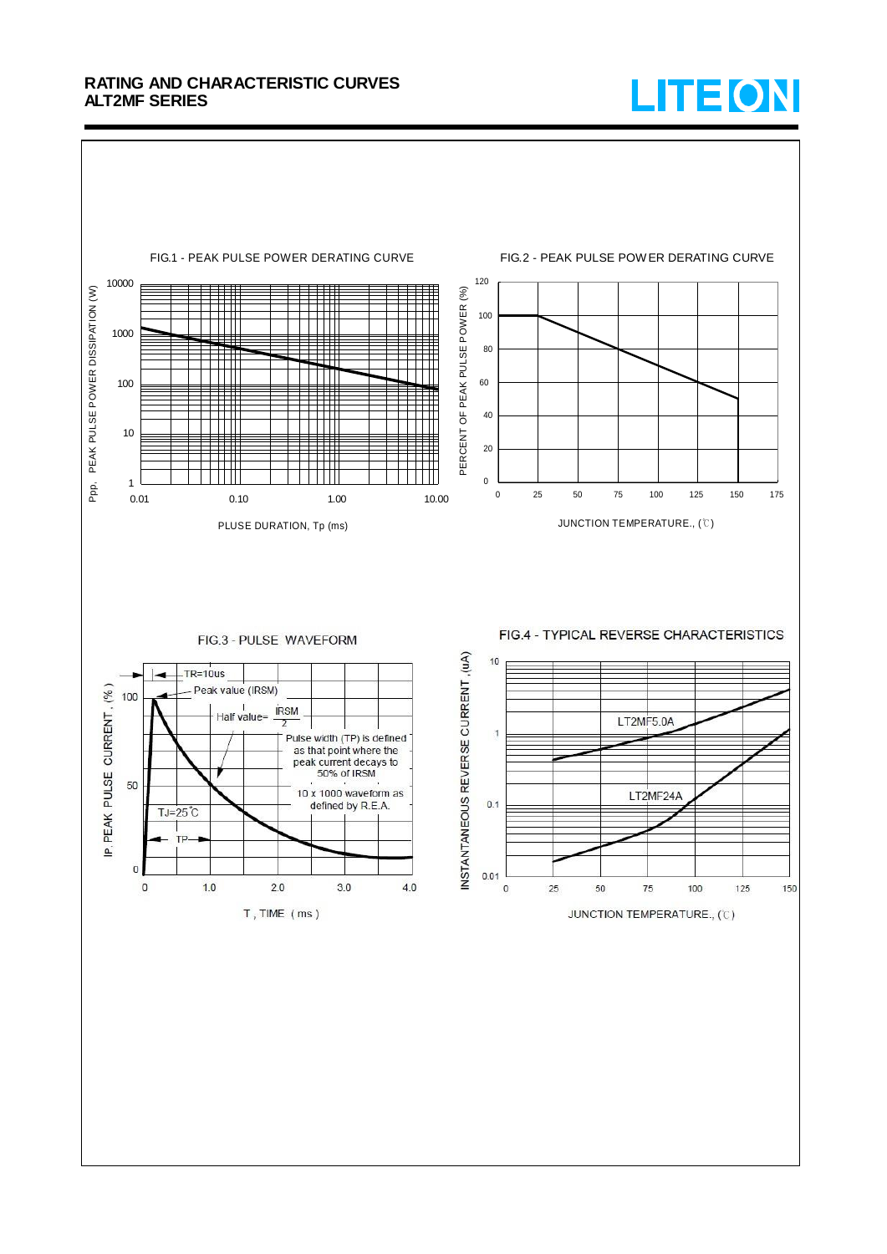#### **RATING AND CHARACTERISTIC CURVES ALT2MF SERIES**



# LITEON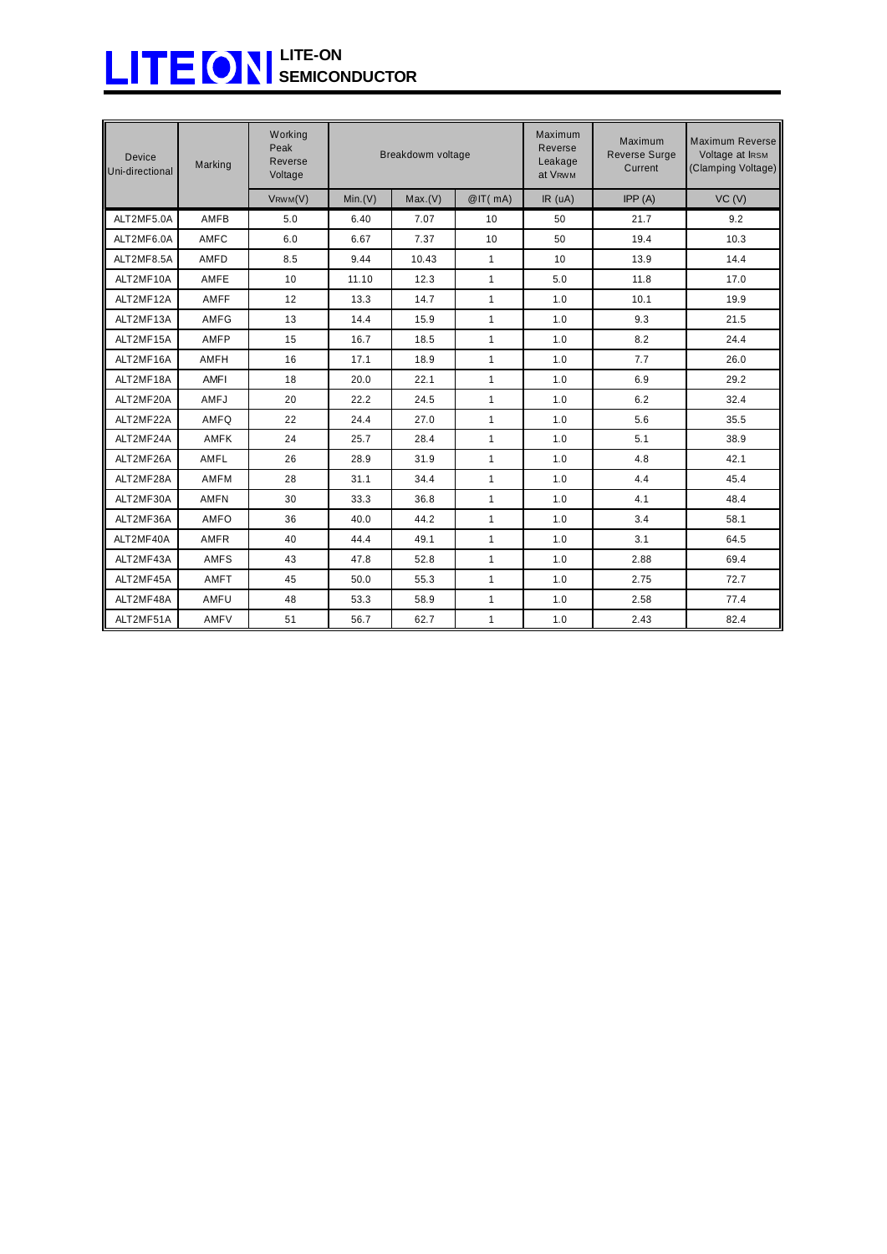## **LITE-ON SEMICONDUCTOR**

| <b>Device</b><br>Uni-directional | Marking     | Working<br>Peak<br>Reverse<br>Voltage | Breakdowm voltage |         |              | Maximum<br>Reverse<br>Leakage<br>at V <sub>RWM</sub> | Maximum<br><b>Reverse Surge</b><br>Current | Maximum Reverse<br>Voltage at IRSM<br>(Clamping Voltage) |
|----------------------------------|-------------|---------------------------------------|-------------------|---------|--------------|------------------------------------------------------|--------------------------------------------|----------------------------------------------------------|
|                                  |             | $V$ RWM $(V)$                         | Min.(V)           | Max.(V) | @IT(mA)      | IR(uA)                                               | IPP(A)                                     | VC (V)                                                   |
| ALT2MF5.0A                       | AMFB        | 5.0                                   | 6.40              | 7.07    | 10           | 50                                                   | 21.7                                       | 9.2                                                      |
| ALT2MF6.0A                       | AMFC        | 6.0                                   | 6.67              | 7.37    | 10           | 50                                                   | 19.4                                       | 10.3                                                     |
| ALT2MF8.5A                       | AMFD        | 8.5                                   | 9.44              | 10.43   | $\mathbf{1}$ | 10                                                   | 13.9                                       | 14.4                                                     |
| ALT2MF10A                        | AMFE        | 10                                    | 11.10             | 12.3    | $\mathbf{1}$ | 5.0                                                  | 11.8                                       | 17.0                                                     |
| ALT2MF12A                        | AMFF        | 12                                    | 13.3              | 14.7    | $\mathbf{1}$ | 1.0                                                  | 10.1                                       | 19.9                                                     |
| ALT2MF13A                        | AMFG        | 13                                    | 14.4              | 15.9    | $\mathbf{1}$ | 1.0                                                  | 9.3                                        | 21.5                                                     |
| ALT2MF15A                        | AMFP        | 15                                    | 16.7              | 18.5    | $\mathbf{1}$ | 1.0                                                  | 8.2                                        | 24.4                                                     |
| ALT2MF16A                        | AMFH        | 16                                    | 17.1              | 18.9    | $\mathbf{1}$ | 1.0                                                  | 7.7                                        | 26.0                                                     |
| ALT2MF18A                        | AMFI        | 18                                    | 20.0              | 22.1    | $\mathbf{1}$ | 1.0                                                  | 6.9                                        | 29.2                                                     |
| ALT2MF20A                        | AMFJ        | 20                                    | 22.2              | 24.5    | $\mathbf{1}$ | 1.0                                                  | 6.2                                        | 32.4                                                     |
| ALT2MF22A                        | AMFO        | 22                                    | 24.4              | 27.0    | $\mathbf{1}$ | 1.0                                                  | 5.6                                        | 35.5                                                     |
| ALT2MF24A                        | AMFK        | 24                                    | 25.7              | 28.4    | $\mathbf{1}$ | 1.0                                                  | 5.1                                        | 38.9                                                     |
| ALT2MF26A                        | AMFL        | 26                                    | 28.9              | 31.9    | $\mathbf{1}$ | 1.0                                                  | 4.8                                        | 42.1                                                     |
| ALT2MF28A                        | AMFM        | 28                                    | 31.1              | 34.4    | $\mathbf{1}$ | 1.0                                                  | 4.4                                        | 45.4                                                     |
| ALT2MF30A                        | <b>AMFN</b> | 30                                    | 33.3              | 36.8    | $\mathbf{1}$ | 1.0                                                  | 4.1                                        | 48.4                                                     |
| ALT2MF36A                        | AMFO        | 36                                    | 40.0              | 44.2    | $\mathbf{1}$ | 1.0                                                  | 3.4                                        | 58.1                                                     |
| ALT2MF40A                        | <b>AMFR</b> | 40                                    | 44.4              | 49.1    | $\mathbf{1}$ | 1.0                                                  | 3.1                                        | 64.5                                                     |
| ALT2MF43A                        | <b>AMFS</b> | 43                                    | 47.8              | 52.8    | $\mathbf{1}$ | 1.0                                                  | 2.88                                       | 69.4                                                     |
| ALT2MF45A                        | AMFT        | 45                                    | 50.0              | 55.3    | $\mathbf{1}$ | 1.0                                                  | 2.75                                       | 72.7                                                     |
| ALT2MF48A                        | AMFU        | 48                                    | 53.3              | 58.9    | $\mathbf{1}$ | 1.0                                                  | 2.58                                       | 77.4                                                     |
| ALT2MF51A                        | AMFV        | 51                                    | 56.7              | 62.7    | $\mathbf{1}$ | 1.0                                                  | 2.43                                       | 82.4                                                     |